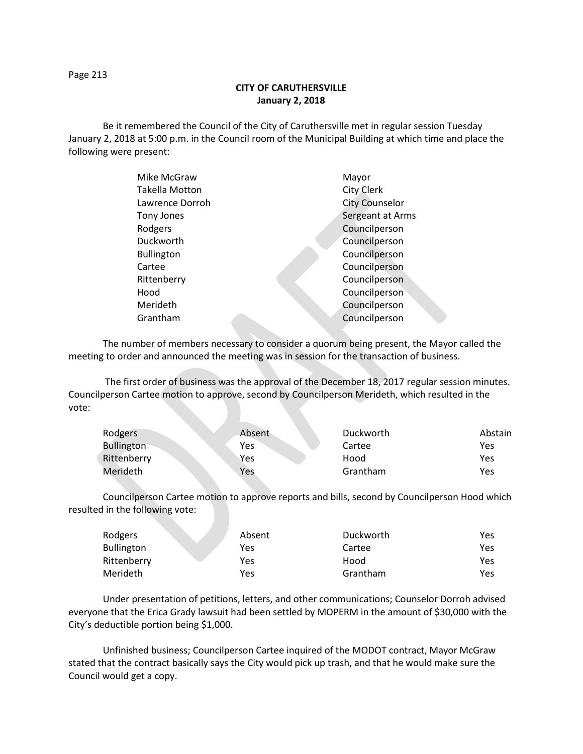## **CITY OF CARUTHERSVILLE January 2, 2018**

Be it remembered the Council of the City of Caruthersville met in regular session Tuesday January 2, 2018 at 5:00 p.m. in the Council room of the Municipal Building at which time and place the following were present:

| Mike McGraw           |  | Mayor                 |
|-----------------------|--|-----------------------|
| <b>Takella Motton</b> |  | City Clerk            |
| Lawrence Dorroh       |  | <b>City Counselor</b> |
| Tony Jones            |  | Sergeant at Arms      |
| Rodgers               |  | Councilperson         |
| Duckworth             |  | Councilperson         |
| <b>Bullington</b>     |  | Councilperson         |
| Cartee                |  | Councilperson         |
| Rittenberry           |  | Councilperson         |
| Hood                  |  | Councilperson         |
| Merideth              |  | Councilperson         |
| Grantham              |  | Councilperson         |
|                       |  |                       |

The number of members necessary to consider a quorum being present, the Mayor called the meeting to order and announced the meeting was in session for the transaction of business.

The first order of business was the approval of the December 18, 2017 regular session minutes. Councilperson Cartee motion to approve, second by Councilperson Merideth, which resulted in the vote:

| Rodgers           | Absent | Duckworth | Abstain |
|-------------------|--------|-----------|---------|
| <b>Bullington</b> | Yes    | Cartee    | Yes     |
| Rittenberry       | Yes    | Hood      | Yes     |
| Merideth          | Yes    | Grantham  | Yes     |

Councilperson Cartee motion to approve reports and bills, second by Councilperson Hood which resulted in the following vote:

| Rodgers           | Absent | Duckworth | Yes  |
|-------------------|--------|-----------|------|
| <b>Bullington</b> | Yes    | Cartee    | Yes. |
| Rittenberry       | Yes    | Hood      | Yes  |
| Merideth          | Yes    | Grantham  | Yes  |

Under presentation of petitions, letters, and other communications; Counselor Dorroh advised everyone that the Erica Grady lawsuit had been settled by MOPERM in the amount of \$30,000 with the City's deductible portion being \$1,000.

Unfinished business; Councilperson Cartee inquired of the MODOT contract, Mayor McGraw stated that the contract basically says the City would pick up trash, and that he would make sure the Council would get a copy.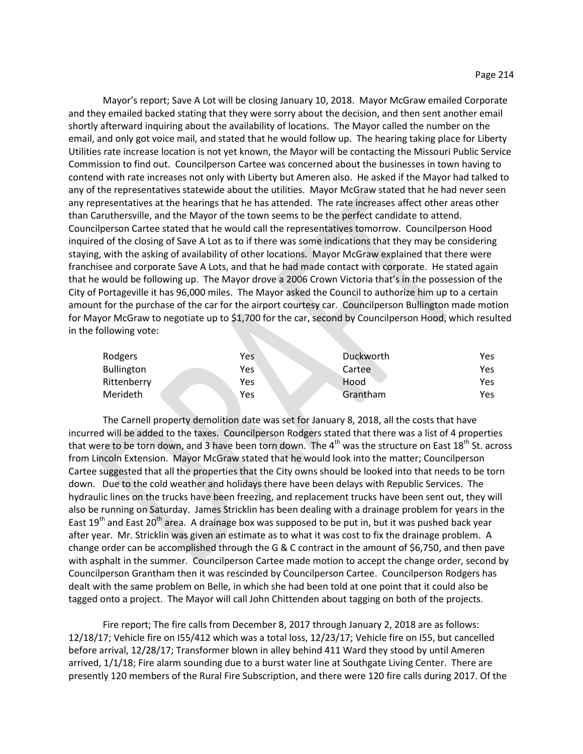Mayor's report; Save A Lot will be closing January 10, 2018. Mayor McGraw emailed Corporate and they emailed backed stating that they were sorry about the decision, and then sent another email shortly afterward inquiring about the availability of locations. The Mayor called the number on the email, and only got voice mail, and stated that he would follow up. The hearing taking place for Liberty Utilities rate increase location is not yet known, the Mayor will be contacting the Missouri Public Service Commission to find out. Councilperson Cartee was concerned about the businesses in town having to contend with rate increases not only with Liberty but Ameren also. He asked if the Mayor had talked to any of the representatives statewide about the utilities. Mayor McGraw stated that he had never seen any representatives at the hearings that he has attended. The rate increases affect other areas other than Caruthersville, and the Mayor of the town seems to be the perfect candidate to attend. Councilperson Cartee stated that he would call the representatives tomorrow. Councilperson Hood inquired of the closing of Save A Lot as to if there was some indications that they may be considering staying, with the asking of availability of other locations. Mayor McGraw explained that there were franchisee and corporate Save A Lots, and that he had made contact with corporate. He stated again that he would be following up. The Mayor drove a 2006 Crown Victoria that's in the possession of the City of Portageville it has 96,000 miles. The Mayor asked the Council to authorize him up to a certain amount for the purchase of the car for the airport courtesy car. Councilperson Bullington made motion for Mayor McGraw to negotiate up to \$1,700 for the car, second by Councilperson Hood, which resulted in the following vote:

| Rodgers           | Yes | Duckworth | Yes |
|-------------------|-----|-----------|-----|
| <b>Bullington</b> | Yes | Cartee    | Yes |
| Rittenberry       | Yes | Hood      | Yes |
| Merideth          | Yes | Grantham  | Yes |

The Carnell property demolition date was set for January 8, 2018, all the costs that have incurred will be added to the taxes. Councilperson Rodgers stated that there was a list of 4 properties that were to be torn down, and 3 have been torn down. The  $4<sup>th</sup>$  was the structure on East  $18<sup>th</sup>$  St. across from Lincoln Extension. Mayor McGraw stated that he would look into the matter; Councilperson Cartee suggested that all the properties that the City owns should be looked into that needs to be torn down. Due to the cold weather and holidays there have been delays with Republic Services. The hydraulic lines on the trucks have been freezing, and replacement trucks have been sent out, they will also be running on Saturday. James Stricklin has been dealing with a drainage problem for years in the East 19<sup>th</sup> and East 20<sup>th</sup> area. A drainage box was supposed to be put in, but it was pushed back year after year. Mr. Stricklin was given an estimate as to what it was cost to fix the drainage problem. A change order can be accomplished through the G & C contract in the amount of \$6,750, and then pave with asphalt in the summer. Councilperson Cartee made motion to accept the change order, second by Councilperson Grantham then it was rescinded by Councilperson Cartee. Councilperson Rodgers has dealt with the same problem on Belle, in which she had been told at one point that it could also be tagged onto a project. The Mayor will call John Chittenden about tagging on both of the projects.

Fire report; The fire calls from December 8, 2017 through January 2, 2018 are as follows: 12/18/17; Vehicle fire on I55/412 which was a total loss, 12/23/17; Vehicle fire on I55, but cancelled before arrival, 12/28/17; Transformer blown in alley behind 411 Ward they stood by until Ameren arrived, 1/1/18; Fire alarm sounding due to a burst water line at Southgate Living Center. There are presently 120 members of the Rural Fire Subscription, and there were 120 fire calls during 2017. Of the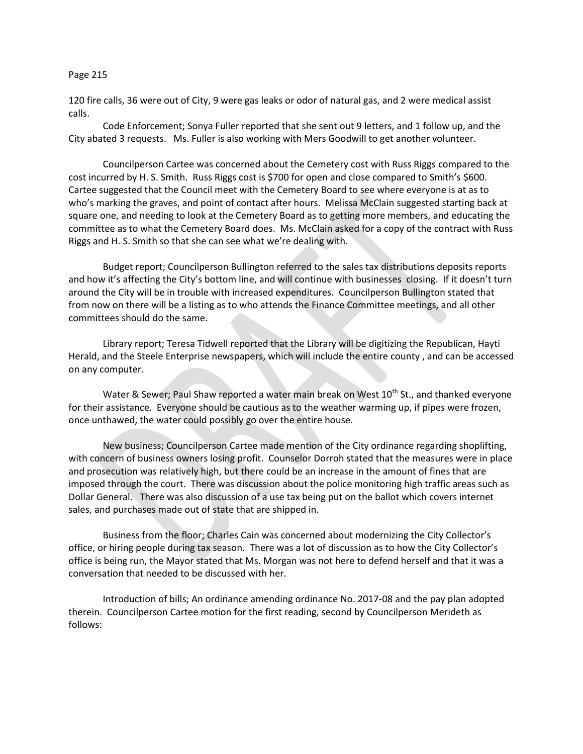120 fire calls, 36 were out of City, 9 were gas leaks or odor of natural gas, and 2 were medical assist calls.

Code Enforcement; Sonya Fuller reported that she sent out 9 letters, and 1 follow up, and the City abated 3 requests. Ms. Fuller is also working with Mers Goodwill to get another volunteer.

Councilperson Cartee was concerned about the Cemetery cost with Russ Riggs compared to the cost incurred by H. S. Smith. Russ Riggs cost is \$700 for open and close compared to Smith's \$600. Cartee suggested that the Council meet with the Cemetery Board to see where everyone is at as to who's marking the graves, and point of contact after hours. Melissa McClain suggested starting back at square one, and needing to look at the Cemetery Board as to getting more members, and educating the committee as to what the Cemetery Board does. Ms. McClain asked for a copy of the contract with Russ Riggs and H. S. Smith so that she can see what we're dealing with.

Budget report; Councilperson Bullington referred to the sales tax distributions deposits reports and how it's affecting the City's bottom line, and will continue with businesses closing. If it doesn't turn around the City will be in trouble with increased expenditures. Councilperson Bullington stated that from now on there will be a listing as to who attends the Finance Committee meetings, and all other committees should do the same.

Library report; Teresa Tidwell reported that the Library will be digitizing the Republican, Hayti Herald, and the Steele Enterprise newspapers, which will include the entire county , and can be accessed on any computer.

Water & Sewer; Paul Shaw reported a water main break on West  $10^{th}$  St., and thanked everyone for their assistance. Everyone should be cautious as to the weather warming up, if pipes were frozen, once unthawed, the water could possibly go over the entire house.

New business; Councilperson Cartee made mention of the City ordinance regarding shoplifting, with concern of business owners losing profit. Counselor Dorroh stated that the measures were in place and prosecution was relatively high, but there could be an increase in the amount of fines that are imposed through the court. There was discussion about the police monitoring high traffic areas such as Dollar General. There was also discussion of a use tax being put on the ballot which covers internet sales, and purchases made out of state that are shipped in.

Business from the floor; Charles Cain was concerned about modernizing the City Collector's office, or hiring people during tax season. There was a lot of discussion as to how the City Collector's office is being run, the Mayor stated that Ms. Morgan was not here to defend herself and that it was a conversation that needed to be discussed with her.

Introduction of bills; An ordinance amending ordinance No. 2017-08 and the pay plan adopted therein. Councilperson Cartee motion for the first reading, second by Councilperson Merideth as follows: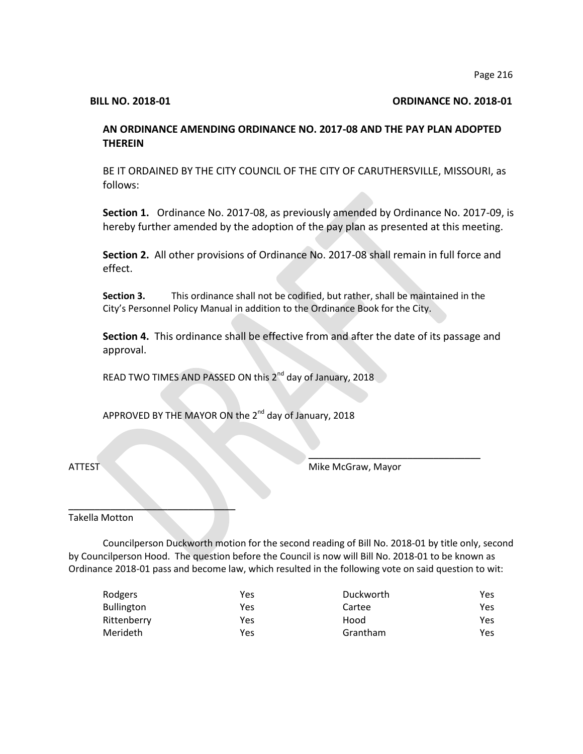### **BILL NO. 2018-01 ORDINANCE NO. 2018-01**

# **AN ORDINANCE AMENDING ORDINANCE NO. 2017-08 AND THE PAY PLAN ADOPTED THEREIN**

BE IT ORDAINED BY THE CITY COUNCIL OF THE CITY OF CARUTHERSVILLE, MISSOURI, as follows:

**Section 1.** Ordinance No. 2017-08, as previously amended by Ordinance No. 2017-09, is hereby further amended by the adoption of the pay plan as presented at this meeting.

**Section 2.** All other provisions of Ordinance No. 2017-08 shall remain in full force and effect.

**Section 3.** This ordinance shall not be codified, but rather, shall be maintained in the City's Personnel Policy Manual in addition to the Ordinance Book for the City.

**Section 4.** This ordinance shall be effective from and after the date of its passage and approval.

READ TWO TIMES AND PASSED ON this  $2^{nd}$  day of January, 2018

APPROVED BY THE MAYOR ON the 2<sup>nd</sup> day of January, 2018

ATTEST Mike McGraw, Mayor

 $\overline{\phantom{a}}$  , where  $\overline{\phantom{a}}$  , where  $\overline{\phantom{a}}$  , where  $\overline{\phantom{a}}$  , we have the set of  $\overline{\phantom{a}}$ 

Takella Motton

 $\overline{\phantom{a}}$  , and the set of the set of the set of the set of the set of the set of the set of the set of the set of the set of the set of the set of the set of the set of the set of the set of the set of the set of the s

Councilperson Duckworth motion for the second reading of Bill No. 2018-01 by title only, second by Councilperson Hood. The question before the Council is now will Bill No. 2018-01 to be known as Ordinance 2018-01 pass and become law, which resulted in the following vote on said question to wit:

| Rodgers           | Yes | Duckworth | Yes |
|-------------------|-----|-----------|-----|
| <b>Bullington</b> | Yes | Cartee    | Yes |
| Rittenberry       | Yes | Hood      | Yes |
| <b>Merideth</b>   | Yes | Grantham  | Yes |